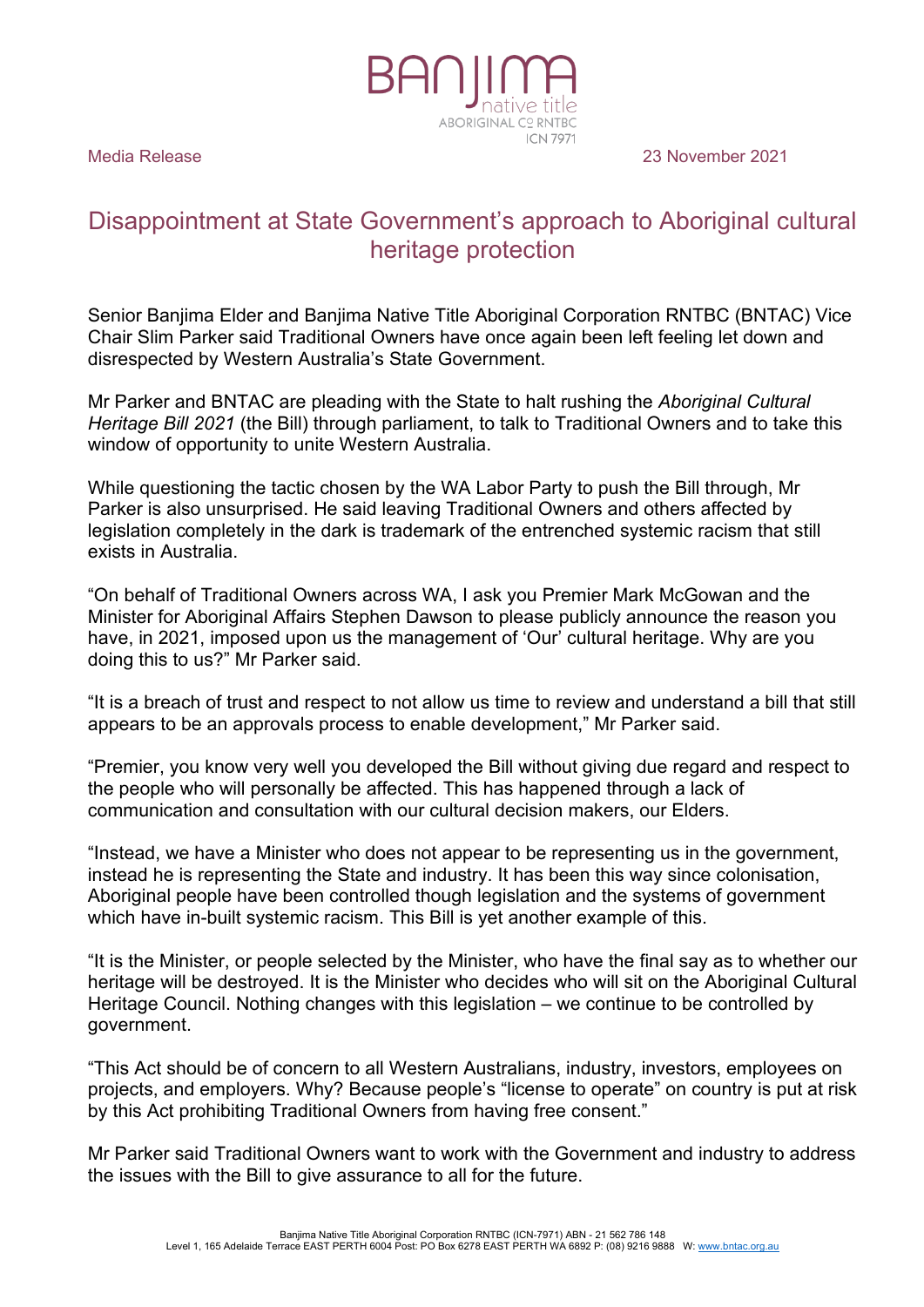

Media Release 23 November 2021

## Disappointment at State Government's approach to Aboriginal cultural heritage protection

Senior Banjima Elder and Banjima Native Title Aboriginal Corporation RNTBC (BNTAC) Vice Chair Slim Parker said Traditional Owners have once again been left feeling let down and disrespected by Western Australia's State Government.

Mr Parker and BNTAC are pleading with the State to halt rushing the *Aboriginal Cultural Heritage Bill 2021* (the Bill) through parliament, to talk to Traditional Owners and to take this window of opportunity to unite Western Australia.

While questioning the tactic chosen by the WA Labor Party to push the Bill through, Mr Parker is also unsurprised. He said leaving Traditional Owners and others affected by legislation completely in the dark is trademark of the entrenched systemic racism that still exists in Australia.

"On behalf of Traditional Owners across WA, I ask you Premier Mark McGowan and the Minister for Aboriginal Affairs Stephen Dawson to please publicly announce the reason you have, in 2021, imposed upon us the management of 'Our' cultural heritage. Why are you doing this to us?" Mr Parker said.

"It is a breach of trust and respect to not allow us time to review and understand a bill that still appears to be an approvals process to enable development," Mr Parker said.

"Premier, you know very well you developed the Bill without giving due regard and respect to the people who will personally be affected. This has happened through a lack of communication and consultation with our cultural decision makers, our Elders.

"Instead, we have a Minister who does not appear to be representing us in the government, instead he is representing the State and industry. It has been this way since colonisation, Aboriginal people have been controlled though legislation and the systems of government which have in-built systemic racism. This Bill is yet another example of this.

"It is the Minister, or people selected by the Minister, who have the final say as to whether our heritage will be destroyed. It is the Minister who decides who will sit on the Aboriginal Cultural Heritage Council. Nothing changes with this legislation – we continue to be controlled by government.

"This Act should be of concern to all Western Australians, industry, investors, employees on projects, and employers. Why? Because people's "license to operate" on country is put at risk by this Act prohibiting Traditional Owners from having free consent."

Mr Parker said Traditional Owners want to work with the Government and industry to address the issues with the Bill to give assurance to all for the future.